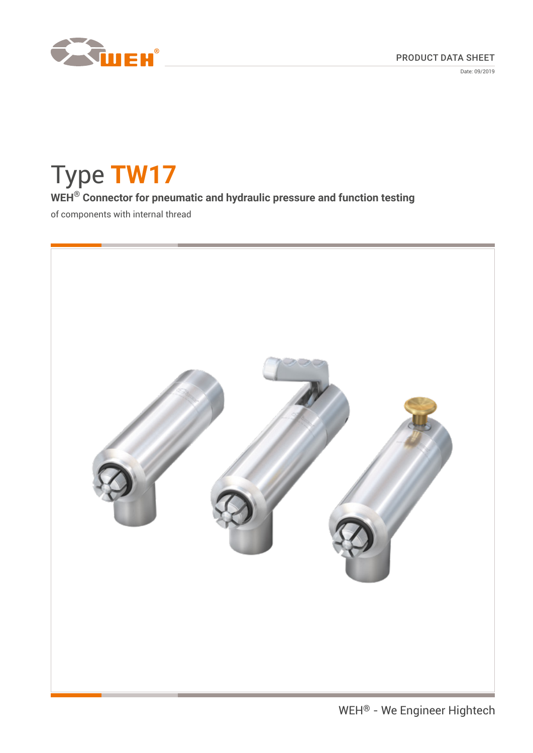

Date: 09/2019

Type **TW17 WEH® Connector for pneumatic and hydraulic pressure and function testing** of components with internal thread

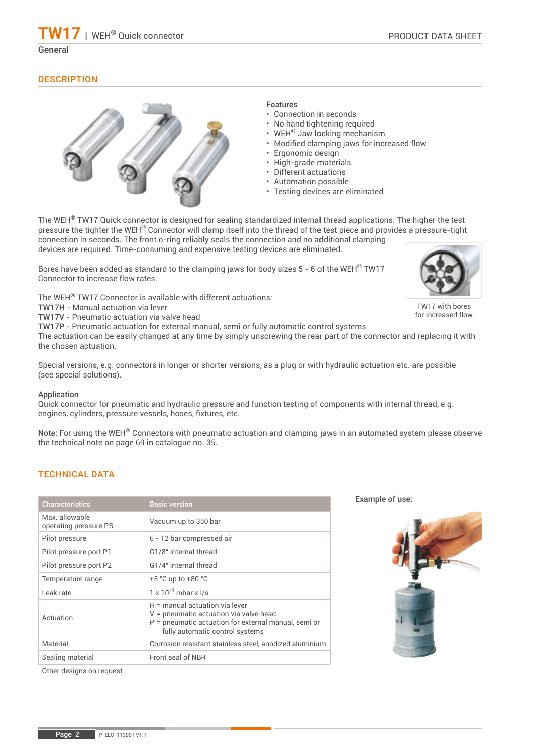TW17 with bores for increased flow

## **DESCRIPTION**



## Features

- Connection in seconds
- No hand tightening required
- WEH<sup>®</sup> Jaw locking mechanism
- Modified clamping jaws for increased flow
- Ergonomic design
- High-grade materials
- Different actuations
- Automation possible
- Testing devices are eliminated

The WEH<sup>®</sup> TW17 Quick connector is designed for sealing standardized internal thread applications. The higher the test pressure the tighter the WEH® Connector will clamp itself into the thread of the test piece and provides a pressure-tight connection in seconds. The front o-ring reliably seals the connection and no additional clamping devices are required. Time-consuming and expensive testing devices are eliminated.

Bores have been added as standard to the clamping jaws for body sizes 5 - 6 of the WEH® TW17 Connector to increase flow rates.

The WEH® TW17 Connector is available with different actuations:

TW17H - Manual actuation via lever

TW17V - Pneumatic actuation via valve head

TW17P - Pneumatic actuation for external manual, semi or fully automatic control systems

The actuation can be easily changed at any time by simply unscrewing the rear part of the connector and replacing it with the chosen actuation.

Special versions, e.g. connectors in longer or shorter versions, as a plug or with hydraulic actuation etc. are possible (see special solutions).

## Application

Quick connector for pneumatic and hydraulic pressure and function testing of components with internal thread, e.g. engines, cylinders, pressure vessels, hoses, fixtures, etc.

Note: For using the WEH® Connectors with pneumatic actuation and clamping jaws in an automated system please observe the technical note on page 69 in catalogue no. 35.

## TECHNICAL DATA

| <b>Characteristics</b>                 | <b>Basic version</b>                                                                                                                                                  |
|----------------------------------------|-----------------------------------------------------------------------------------------------------------------------------------------------------------------------|
| Max allowable<br>operating pressure PS | Vacuum up to 350 bar                                                                                                                                                  |
| Pilot pressure                         | 6 - 12 bar compressed air                                                                                                                                             |
| Pilot pressure port P1                 | G1/8" internal thread                                                                                                                                                 |
| Pilot pressure port P2                 | G1/4" internal thread                                                                                                                                                 |
| Temperature range                      | $+5$ °C up to $+80$ °C                                                                                                                                                |
| Leak rate                              | $1 \times 10^{-3}$ mbar x $1/s$                                                                                                                                       |
| Actuation                              | H = manual actuation via lever<br>V = pneumatic actuation via valve head<br>$P =$ pneumatic actuation for external manual, semi or<br>fully automatic control systems |
| Material                               | Corrosion resistant stainless steel, anodized aluminium                                                                                                               |
| Sealing material                       | Front seal of NBR                                                                                                                                                     |

Other designs on request

Example of use:

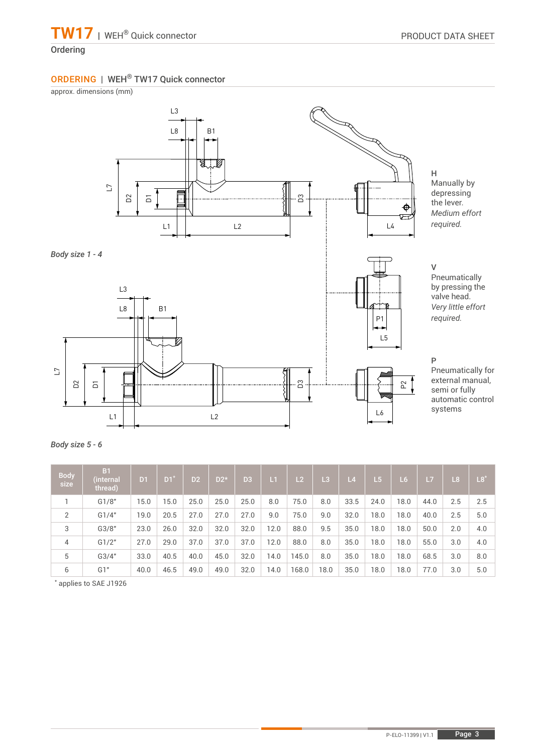# ORDERING | WEH® TW17 Quick connector

approx. dimensions (mm)



*Body size 1 - 4*



H Manually by depressing the lever. *Medium effort required.*

V

Pneumatically by pressing the valve head. *Very little effort required.*

P

Pneumatically for external manual, semi or fully automatic control systems

| <b>Body</b><br>size | B <sub>1</sub><br>(internal<br>thread) | D <sub>1</sub> | D <sub>1</sub> | D2   | $D2*$ | D <sub>3</sub> | L1   | L2    | L3   | L4   | $\sqrt{5}$ | L6   | /L7  | L <sub>8</sub> | $L8^*$ |
|---------------------|----------------------------------------|----------------|----------------|------|-------|----------------|------|-------|------|------|------------|------|------|----------------|--------|
|                     | G1/8"                                  | 15.0           | 15.0           | 25.0 | 25.0  | 25.0           | 8.0  | 75.0  | 8.0  | 33.5 | 24.0       | 18.0 | 44.0 | 2.5            | 2.5    |
| $\overline{2}$      | G1/4"                                  | 19.0           | 20.5           | 27.0 | 27.0  | 27.0           | 9.0  | 75.0  | 9.0  | 32.0 | 18.0       | 8.0  | 40.0 | 2.5            | 5.0    |
| 3                   | G3/8"                                  | 23.0           | 26.0           | 32.0 | 32.0  | 32.0           | 12.0 | 88.0  | 9.5  | 35.0 | 18.0       | 18.0 | 50.0 | 2.0            | 4.0    |
| $\overline{4}$      | G1/2"                                  | 27.0           | 29.0           | 37.0 | 37.0  | 37.0           | 12.0 | 88.0  | 8.0  | 35.0 | 18.0       | 8.0  | 55.0 | 3.0            | 4.0    |
| 5                   | G3/4"                                  | 33.0           | 40.5           | 40.0 | 45.0  | 32.0           | 14.0 | 145.0 | 8.0  | 35.0 | 18.0       | 18.0 | 68.5 | 3.0            | 8.0    |
| 6                   | G1"                                    | 40.0           | 46.5           | 49.0 | 49.0  | 32.0           | 14.0 | 168.0 | 18.0 | 35.0 | 18.0       | 18.0 | 77.0 | 3.0            | 5.0    |

\* applies to SAE J1926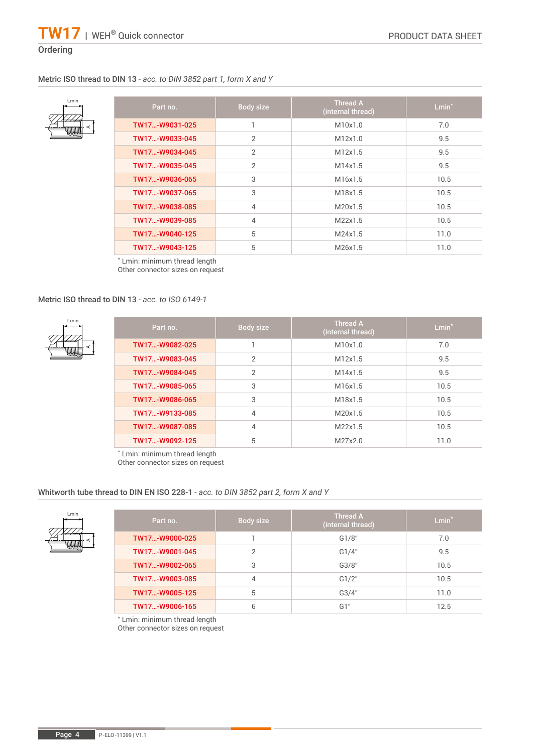# **Ordering**

# Metric ISO thread to DIN 13 *- acc. to DIN 3852 part 1, form X and Y*

| Lmin |  |
|------|--|
|      |  |
|      |  |
|      |  |
|      |  |

| Part no.       | Body size      | <b>Thread A</b><br>(internal thread) | $Lmin^*$ |
|----------------|----------------|--------------------------------------|----------|
| TW17-W9031-025 |                | M10x1.0                              | 7.0      |
| TW17-W9033-045 | $\overline{2}$ | M12x1.0                              | 9.5      |
| TW17-W9034-045 | $\overline{2}$ | M12x1.5                              | 9.5      |
| TW17-W9035-045 | $\overline{2}$ | M14x1.5                              | 9.5      |
| TW17-W9036-065 | 3              | M16x1.5                              | 10.5     |
| TW17-W9037-065 | 3              | M18x1.5                              | 10.5     |
| TW17-W9038-085 | $\overline{4}$ | M20x15                               | 10.5     |
| TW17-W9039-085 | $\overline{4}$ | M22x1.5                              | 10.5     |
| TW17-W9040-125 | 5              | M24x1.5                              | 11.0     |
| TW17-W9043-125 | 5              | M26x1.5                              | 11.0     |

\* Lmin: minimum thread length Other connector sizes on request

## Metric ISO thread to DIN 13 *- acc. to ISO 6149-1*



Lmin

| Part no.       | Body size      | <b>Thread A</b><br>(internal thread) | $Lmin*$ |
|----------------|----------------|--------------------------------------|---------|
| TW17-W9082-025 |                | M10x1.0                              | 7.0     |
| TW17-W9083-045 | $\mathfrak{p}$ | M12x1.5                              | 9.5     |
| TW17-W9084-045 | $\overline{2}$ | M14x1.5                              | 9.5     |
| TW17-W9085-065 | 3              | M16x1.5                              | 10.5    |
| TW17-W9086-065 | 3              | M18x1.5                              | 10.5    |
| TW17-W9133-085 | 4              | M20x1.5                              | 10.5    |
| TW17-W9087-085 | 4              | M22x1.5                              | 10.5    |
| TW17-W9092-125 | 5              | M27x2.0                              | 11.0    |

\* Lmin: minimum thread length Other connector sizes on request

## Whitworth tube thread to DIN EN ISO 228-1 *- acc. to DIN 3852 part 2, form X and Y*

|   | Part no.       | Body size | <b>Thread A</b><br>(internal thread) | $Lmin^*$ |
|---|----------------|-----------|--------------------------------------|----------|
| 4 | TW17-W9000-025 |           | G1/8"                                | 7.0      |
|   | TW17-W9001-045 |           | G1/4"                                | 9.5      |
|   | TW17-W9002-065 | 3         | G3/8"                                | 10.5     |
|   | TW17-W9003-085 | 4         | G1/2"                                | 10.5     |
|   | TW17-W9005-125 | 5         | G3/4"                                | 11.0     |
|   | TW17-W9006-165 | 6         | G1"                                  | 12.5     |

\* Lmin: minimum thread length

Other connector sizes on request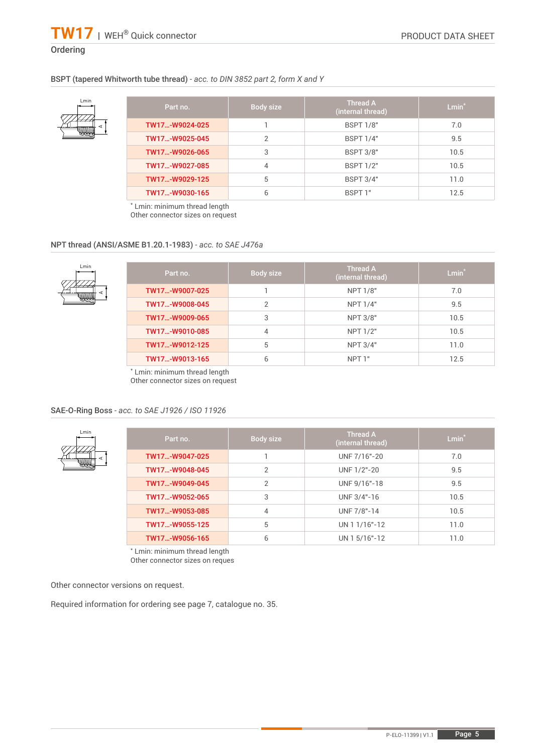# BSPT (tapered Whitworth tube thread) *- acc. to DIN 3852 part 2, form X and Y*



| Part no.       | Body size | <b>Thread A</b><br>(internal thread) | $Lmin^*$ |
|----------------|-----------|--------------------------------------|----------|
| TW17-W9024-025 |           | <b>BSPT 1/8"</b>                     | 7.0      |
| TW17-W9025-045 | 2         | <b>BSPT 1/4"</b>                     | 9.5      |
| TW17-W9026-065 | 3         | <b>BSPT 3/8"</b>                     | 10.5     |
| TW17-W9027-085 | 4         | <b>BSPT 1/2"</b>                     | 10.5     |
| TW17-W9029-125 | 5         | <b>BSPT 3/4"</b>                     | 11.0     |
| TW17-W9030-165 | 6         | BSPT 1"                              | 12.5     |

\* Lmin: minimum thread length Other connector sizes on request

## NPT thread (ANSI/ASME B1.20.1-1983) *- acc. to SAE J476a*

| Part no.       | Body size | <b>Thread A</b><br>(internal thread) | $Lmin*$ |
|----------------|-----------|--------------------------------------|---------|
| TW17-W9007-025 |           | <b>NPT 1/8"</b>                      | 7.0     |
| TW17-W9008-045 |           | NPT 1/4"                             | 9.5     |
| TW17-W9009-065 | 3         | <b>NPT 3/8"</b>                      | 10.5    |
| TW17-W9010-085 | 4         | NPT 1/2"                             | 10.5    |
| TW17-W9012-125 | 5         | <b>NPT 3/4"</b>                      | 11.0    |
| TW17-W9013-165 | 6         | NPT 1"                               | 12.5    |

\* Lmin: minimum thread length

Other connector sizes on request

#### SAE-O-Ring Boss *- acc. to SAE J1926 / ISO 11926*



| Part no.       | Body size | <b>Thread A</b><br>(internal thread) | $Lmin^*$ |
|----------------|-----------|--------------------------------------|----------|
| TW17-W9047-025 |           | UNF 7/16"-20                         | 7.0      |
| TW17-W9048-045 | 2         | UNF 1/2"-20                          | 9.5      |
| TW17-W9049-045 | 2         | UNF 9/16"-18                         | 9.5      |
| TW17-W9052-065 | 3         | UNF 3/4"-16                          | 10.5     |
| TW17-W9053-085 | 4         | UNF 7/8"-14                          | 10.5     |
| TW17-W9055-125 | 5         | UN 1 1/16"-12                        | 11.0     |
| TW17-W9056-165 | 6         | UN 1 5/16"-12                        | 11.0     |

\* Lmin: minimum thread length

Other connector sizes on reques

Other connector versions on request.

Required information for ordering see page 7, catalogue no. 35.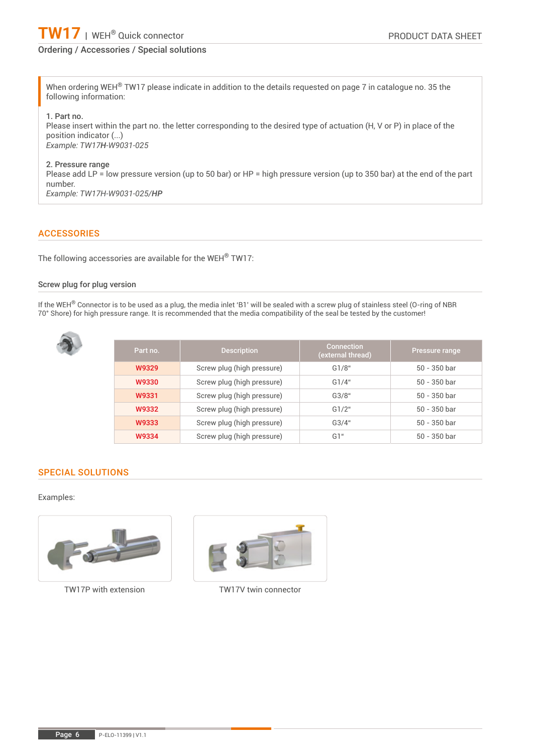

# Ordering / Accessories / Special solutions

When ordering WEH<sup>®</sup> TW17 please indicate in addition to the details requested on page 7 in catalogue no. 35 the following information:

1. Part no.

Please insert within the part no. the letter corresponding to the desired type of actuation (H, V or P) in place of the position indicator (...) *Example: TW17H-W9031-025*

#### 2. Pressure range

Please add LP = low pressure version (up to 50 bar) or HP = high pressure version (up to 350 bar) at the end of the part number. *Example: TW17H-W9031-025/HP*

## **ACCESSORIES**

The following accessories are available for the WEH® TW17:

#### Screw plug for plug version

If the WEH® Connector is to be used as a plug, the media inlet 'B1' will be sealed with a screw plug of stainless steel (O-ring of NBR 70° Shore) for high pressure range. It is recommended that the media compatibility of the seal be tested by the customer!



| Part no. | <b>Description</b>         | <b>Connection</b><br>(external thread) | Pressure range |
|----------|----------------------------|----------------------------------------|----------------|
| W9329    | Screw plug (high pressure) | G1/8"                                  | $50 - 350$ bar |
| W9330    | Screw plug (high pressure) | G1/4"                                  | $50 - 350$ bar |
| W9331    | Screw plug (high pressure) | G3/8"                                  | $50 - 350$ bar |
| W9332    | Screw plug (high pressure) | G1/2"                                  | $50 - 350$ bar |
| W9333    | Screw plug (high pressure) | G3/4"                                  | $50 - 350$ bar |
| W9334    | Screw plug (high pressure) | G1"                                    | $50 - 350$ bar |

## SPECIAL SOLUTIONS

#### Examples:





TW17P with extension TW17V twin connector